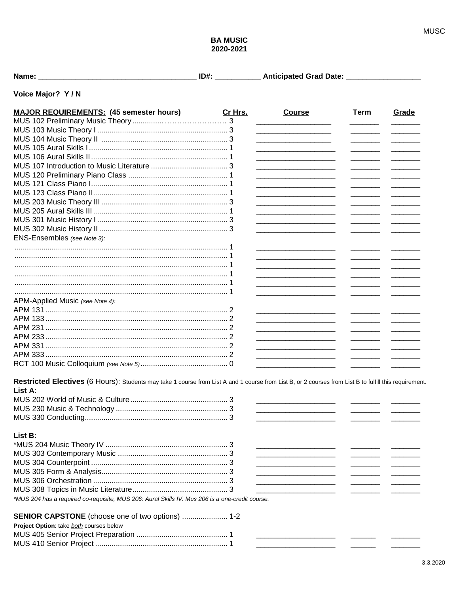## **BA MUSIC** 2020-2021

| Name: |  |  |  | ____ | <b>Anticipated Grad Date:</b> |  |
|-------|--|--|--|------|-------------------------------|--|
|-------|--|--|--|------|-------------------------------|--|

## Voice Major? Y/N

| <b>MAJOR REQUIREMENTS: (45 semester hours)</b>                                                                                                         | Cr Hrs. | <b>Course</b>                                                                                                         | <b>Term</b> | Grade                                                                                                                                                                                                                                                                                                                                                                                                                                                                                 |
|--------------------------------------------------------------------------------------------------------------------------------------------------------|---------|-----------------------------------------------------------------------------------------------------------------------|-------------|---------------------------------------------------------------------------------------------------------------------------------------------------------------------------------------------------------------------------------------------------------------------------------------------------------------------------------------------------------------------------------------------------------------------------------------------------------------------------------------|
|                                                                                                                                                        |         |                                                                                                                       |             |                                                                                                                                                                                                                                                                                                                                                                                                                                                                                       |
|                                                                                                                                                        |         | <u> 1989 - Johann Barn, mars an t-Amerikaansk kommunister (</u>                                                       |             |                                                                                                                                                                                                                                                                                                                                                                                                                                                                                       |
|                                                                                                                                                        |         | <u> 1989 - Johann Barbara, martin da kasar Indonesia.</u>                                                             |             |                                                                                                                                                                                                                                                                                                                                                                                                                                                                                       |
|                                                                                                                                                        |         | <u> 1989 - Johann Barbara, martin da basar da basar da basar da basar da basar da basar da basar da basar da basa</u> |             | $\overline{\phantom{a}}$                                                                                                                                                                                                                                                                                                                                                                                                                                                              |
|                                                                                                                                                        |         |                                                                                                                       |             | $\overline{\phantom{a}}$                                                                                                                                                                                                                                                                                                                                                                                                                                                              |
|                                                                                                                                                        |         |                                                                                                                       |             | $\overline{\phantom{a}}$                                                                                                                                                                                                                                                                                                                                                                                                                                                              |
|                                                                                                                                                        |         |                                                                                                                       |             |                                                                                                                                                                                                                                                                                                                                                                                                                                                                                       |
|                                                                                                                                                        |         |                                                                                                                       |             |                                                                                                                                                                                                                                                                                                                                                                                                                                                                                       |
|                                                                                                                                                        |         |                                                                                                                       |             |                                                                                                                                                                                                                                                                                                                                                                                                                                                                                       |
|                                                                                                                                                        |         |                                                                                                                       |             | $\begin{array}{cccccccccc} \hline \multicolumn{3}{c}{} & \multicolumn{3}{c}{} & \multicolumn{3}{c}{} & \multicolumn{3}{c}{} & \multicolumn{3}{c}{} & \multicolumn{3}{c}{} & \multicolumn{3}{c}{} & \multicolumn{3}{c}{} & \multicolumn{3}{c}{} & \multicolumn{3}{c}{} & \multicolumn{3}{c}{} & \multicolumn{3}{c}{} & \multicolumn{3}{c}{} & \multicolumn{3}{c}{} & \multicolumn{3}{c}{} & \multicolumn{3}{c}{} & \multicolumn{3}{c}{} & \multicolumn{3}{c}{} & \multicolumn{3}{c}{}$ |
|                                                                                                                                                        |         |                                                                                                                       |             | $\begin{array}{cccccccccc} \hline \multicolumn{3}{c}{} & \multicolumn{3}{c}{} & \multicolumn{3}{c}{} & \multicolumn{3}{c}{} & \multicolumn{3}{c}{} & \multicolumn{3}{c}{} & \multicolumn{3}{c}{} & \multicolumn{3}{c}{} & \multicolumn{3}{c}{} & \multicolumn{3}{c}{} & \multicolumn{3}{c}{} & \multicolumn{3}{c}{} & \multicolumn{3}{c}{} & \multicolumn{3}{c}{} & \multicolumn{3}{c}{} & \multicolumn{3}{c}{} & \multicolumn{3}{c}{} & \multicolumn{3}{c}{} & \multicolumn{3}{c}{}$ |
|                                                                                                                                                        |         |                                                                                                                       |             | $\overline{\phantom{a}}$ . The contract of $\overline{\phantom{a}}$                                                                                                                                                                                                                                                                                                                                                                                                                   |
|                                                                                                                                                        |         | <u> 1980 - Johann Barbara, martin da kasar Amerikaan kasar da</u>                                                     |             |                                                                                                                                                                                                                                                                                                                                                                                                                                                                                       |
| ENS-Ensembles (see Note 3):                                                                                                                            |         |                                                                                                                       |             |                                                                                                                                                                                                                                                                                                                                                                                                                                                                                       |
|                                                                                                                                                        |         |                                                                                                                       |             |                                                                                                                                                                                                                                                                                                                                                                                                                                                                                       |
|                                                                                                                                                        |         | <u> 1989 - Johann Barn, mars an t-Amerikaansk kommunister (</u>                                                       |             |                                                                                                                                                                                                                                                                                                                                                                                                                                                                                       |
|                                                                                                                                                        |         |                                                                                                                       |             |                                                                                                                                                                                                                                                                                                                                                                                                                                                                                       |
|                                                                                                                                                        |         | <u> 2000 - Jan James James Barnett, amerikansk politik (d. 1878)</u>                                                  |             |                                                                                                                                                                                                                                                                                                                                                                                                                                                                                       |
|                                                                                                                                                        |         |                                                                                                                       |             |                                                                                                                                                                                                                                                                                                                                                                                                                                                                                       |
|                                                                                                                                                        |         | the contract of the contract of the contract of the contract of                                                       |             |                                                                                                                                                                                                                                                                                                                                                                                                                                                                                       |
| APM-Applied Music (see Note 4):                                                                                                                        |         |                                                                                                                       |             |                                                                                                                                                                                                                                                                                                                                                                                                                                                                                       |
|                                                                                                                                                        |         |                                                                                                                       |             |                                                                                                                                                                                                                                                                                                                                                                                                                                                                                       |
|                                                                                                                                                        |         |                                                                                                                       |             |                                                                                                                                                                                                                                                                                                                                                                                                                                                                                       |
|                                                                                                                                                        |         | <u> 1989 - Johann Barbara, martin da kasar Amerika II.a (</u>                                                         |             |                                                                                                                                                                                                                                                                                                                                                                                                                                                                                       |
|                                                                                                                                                        |         |                                                                                                                       |             |                                                                                                                                                                                                                                                                                                                                                                                                                                                                                       |
|                                                                                                                                                        |         |                                                                                                                       |             |                                                                                                                                                                                                                                                                                                                                                                                                                                                                                       |
|                                                                                                                                                        |         |                                                                                                                       |             |                                                                                                                                                                                                                                                                                                                                                                                                                                                                                       |
|                                                                                                                                                        |         |                                                                                                                       |             |                                                                                                                                                                                                                                                                                                                                                                                                                                                                                       |
|                                                                                                                                                        |         | <u> 1980 - John Stein, Amerikaansk politiker (</u>                                                                    |             |                                                                                                                                                                                                                                                                                                                                                                                                                                                                                       |
| Restricted Electives (6 Hours): Students may take 1 course from List A and 1 course from List B, or 2 courses from List B to fulfill this requirement. |         |                                                                                                                       |             |                                                                                                                                                                                                                                                                                                                                                                                                                                                                                       |
| List A:                                                                                                                                                |         |                                                                                                                       |             |                                                                                                                                                                                                                                                                                                                                                                                                                                                                                       |
|                                                                                                                                                        |         |                                                                                                                       |             |                                                                                                                                                                                                                                                                                                                                                                                                                                                                                       |
|                                                                                                                                                        |         |                                                                                                                       |             |                                                                                                                                                                                                                                                                                                                                                                                                                                                                                       |
|                                                                                                                                                        |         | <u> 1989 - Johann John Stone, mars et al. (</u>                                                                       |             |                                                                                                                                                                                                                                                                                                                                                                                                                                                                                       |
|                                                                                                                                                        |         | <u> 1980 - Johann Barbara, martin a</u>                                                                               |             |                                                                                                                                                                                                                                                                                                                                                                                                                                                                                       |
| List B:                                                                                                                                                |         |                                                                                                                       |             |                                                                                                                                                                                                                                                                                                                                                                                                                                                                                       |
|                                                                                                                                                        |         |                                                                                                                       |             |                                                                                                                                                                                                                                                                                                                                                                                                                                                                                       |
|                                                                                                                                                        |         |                                                                                                                       |             |                                                                                                                                                                                                                                                                                                                                                                                                                                                                                       |
|                                                                                                                                                        |         | and the control of the control of the control of                                                                      |             |                                                                                                                                                                                                                                                                                                                                                                                                                                                                                       |
|                                                                                                                                                        |         |                                                                                                                       |             |                                                                                                                                                                                                                                                                                                                                                                                                                                                                                       |
|                                                                                                                                                        |         |                                                                                                                       |             |                                                                                                                                                                                                                                                                                                                                                                                                                                                                                       |
|                                                                                                                                                        |         |                                                                                                                       |             |                                                                                                                                                                                                                                                                                                                                                                                                                                                                                       |
|                                                                                                                                                        |         |                                                                                                                       |             |                                                                                                                                                                                                                                                                                                                                                                                                                                                                                       |
| *MUS 204 has a required co-requisite, MUS 206: Aural Skills IV. Mus 206 is a one-credit course.                                                        |         |                                                                                                                       |             |                                                                                                                                                                                                                                                                                                                                                                                                                                                                                       |
| SENIOR CAPSTONE (choose one of two options)  1-2                                                                                                       |         |                                                                                                                       |             |                                                                                                                                                                                                                                                                                                                                                                                                                                                                                       |
| Project Option: take both courses below                                                                                                                |         |                                                                                                                       |             |                                                                                                                                                                                                                                                                                                                                                                                                                                                                                       |
|                                                                                                                                                        |         |                                                                                                                       |             |                                                                                                                                                                                                                                                                                                                                                                                                                                                                                       |
|                                                                                                                                                        |         |                                                                                                                       |             |                                                                                                                                                                                                                                                                                                                                                                                                                                                                                       |
|                                                                                                                                                        |         |                                                                                                                       |             |                                                                                                                                                                                                                                                                                                                                                                                                                                                                                       |